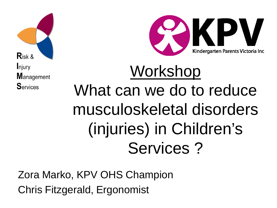



# Workshop What can we do to reduce musculoskeletal disorders (injuries) in Children's Services ?

Zora Marko, KPV OHS Champion Chris Fitzgerald, Ergonomist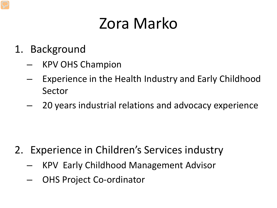### Zora Marko

- 1. Background
	- KPV OHS Champion
	- Experience in the Health Industry and Early Childhood Sector
	- 20 years industrial relations and advocacy experience

- 2. Experience in Children's Services industry
	- KPV Early Childhood Management Advisor
	- OHS Project Co-ordinator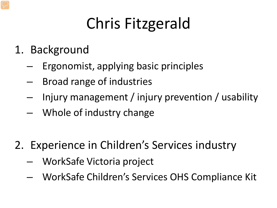# Chris Fitzgerald

- 1. Background
	- Ergonomist, applying basic principles
	- Broad range of industries
	- Injury management / injury prevention / usability
	- Whole of industry change
- 2. Experience in Children's Services industry
	- WorkSafe Victoria project
	- WorkSafe Children's Services OHS Compliance Kit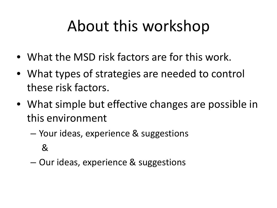### About this workshop

- What the MSD risk factors are for this work.
- What types of strategies are needed to control these risk factors.
- What simple but effective changes are possible in this environment
	- Your ideas, experience & suggestions &
	- Our ideas, experience & suggestions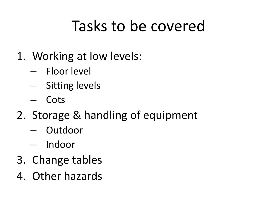### Tasks to be covered

- 1. Working at low levels:
	- Floor level
	- Sitting levels
	- Cots
- 2. Storage & handling of equipment
	- Outdoor
	- Indoor
- 3. Change tables
- 4. Other hazards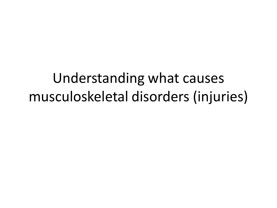Understanding what causes musculoskeletal disorders (injuries)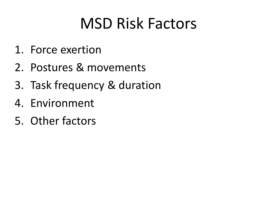### MSD Risk Factors

- 1. Force exertion
- 2. Postures & movements
- 3. Task frequency & duration
- 4. Environment
- 5. Other factors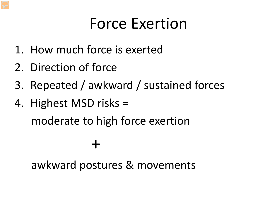### Force Exertion

- 1. How much force is exerted
- 2. Direction of force
- 3. Repeated / awkward / sustained forces
- 4. Highest MSD risks = moderate to high force exertion

#### awkward postures & movements

+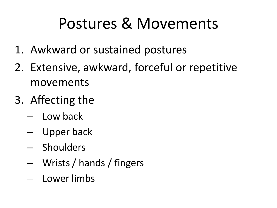### Postures & Movements

- 1. Awkward or sustained postures
- 2. Extensive, awkward, forceful or repetitive movements
- 3. Affecting the
	- Low back
	- Upper back
	- Shoulders
	- Wrists / hands / fingers
	- Lower limbs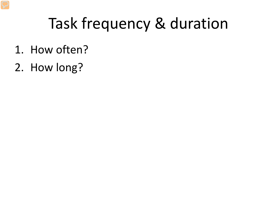### Task frequency & duration

- 1. How often?
- 2. How long?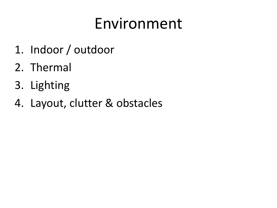### Environment

- 1. Indoor / outdoor
- 2. Thermal
- 3. Lighting
- 4. Layout, clutter & obstacles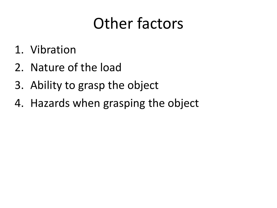### Other factors

- 1. Vibration
- 2. Nature of the load
- 3. Ability to grasp the object
- 4. Hazards when grasping the object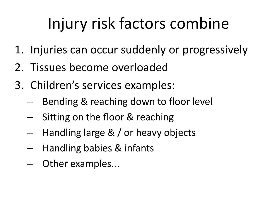## Injury risk factors combine

- 1. Injuries can occur suddenly or progressively
- 2. Tissues become overloaded
- 3. Children's services examples:
	- Bending & reaching down to floor level
	- Sitting on the floor & reaching
	- Handling large & / or heavy objects
	- Handling babies & infants
	- Other examples...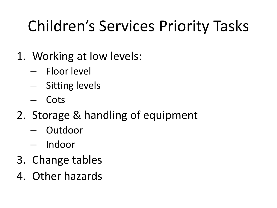# Children's Services Priority Tasks

- 1. Working at low levels:
	- Floor level
	- Sitting levels
	- Cots
- 2. Storage & handling of equipment
	- Outdoor
	- Indoor
- 3. Change tables
- 4. Other hazards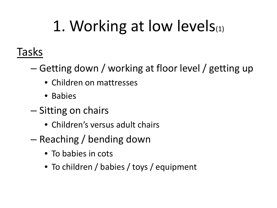# 1. Working at low levels(1)

### Tasks

- Getting down / working at floor level / getting up
	- Children on mattresses
	- Babies
- Sitting on chairs
	- Children's versus adult chairs
- Reaching / bending down
	- To babies in cots
	- To children / babies / toys / equipment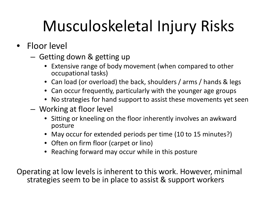- Floor level
	- Getting down & getting up
		- Extensive range of body movement (when compared to other occupational tasks)
		- Can load (or overload) the back, shoulders / arms / hands & legs
		- Can occur frequently, particularly with the younger age groups
		- No strategies for hand support to assist these movements yet seen
	- Working at floor level
		- Sitting or kneeling on the floor inherently involves an awkward posture
		- May occur for extended periods per time (10 to 15 minutes?)
		- Often on firm floor (carpet or lino)
		- Reaching forward may occur while in this posture

Operating at low levels is inherent to this work. However, minimal strategies seem to be in place to assist & support workers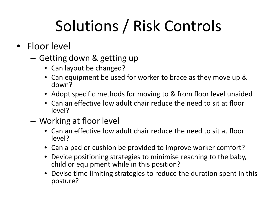# Solutions / Risk Controls

- Floor level
	- Getting down & getting up
		- Can layout be changed?
		- Can equipment be used for worker to brace as they move up & down?
		- Adopt specific methods for moving to & from floor level unaided
		- Can an effective low adult chair reduce the need to sit at floor level?
	- Working at floor level
		- Can an effective low adult chair reduce the need to sit at floor level?
		- Can a pad or cushion be provided to improve worker comfort?
		- Device positioning strategies to minimise reaching to the baby, child or equipment while in this position?
		- Devise time limiting strategies to reduce the duration spent in this posture?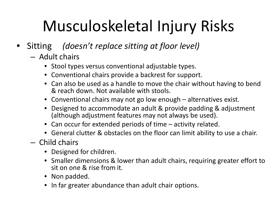- Sitting *(doesn't replace sitting at floor level)*
	- Adult chairs
		- Stool types versus conventional adjustable types.
		- Conventional chairs provide a backrest for support.
		- Can also be used as a handle to move the chair without having to bend & reach down. Not available with stools.
		- Conventional chairs may not go low enough alternatives exist.
		- Designed to accommodate an adult & provide padding & adjustment (although adjustment features may not always be used).
		- Can occur for extended periods of time activity related.
		- General clutter & obstacles on the floor can limit ability to use a chair.
	- Child chairs
		- Designed for children.
		- Smaller dimensions & lower than adult chairs, requiring greater effort to sit on one & rise from it.
		- Non padded.
		- In far greater abundance than adult chair options.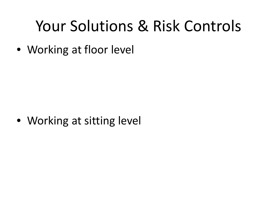### Your Solutions & Risk Controls

• Working at floor level

• Working at sitting level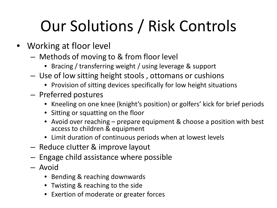# Our Solutions / Risk Controls

- Working at floor level
	- Methods of moving to & from floor level
		- Bracing / transferring weight / using leverage & support
	- Use of low sitting height stools , ottomans or cushions
		- Provision of sitting devices specifically for low height situations
	- Preferred postures
		- Kneeling on one knee (knight's position) or golfers' kick for brief periods
		- Sitting or squatting on the floor
		- Avoid over reaching prepare equipment & choose a position with best access to children & equipment
		- Limit duration of continuous periods when at lowest levels
	- Reduce cIutter & improve layout
	- Engage child assistance where possible
	- Avoid
		- Bending & reaching downwards
		- Twisting & reaching to the side
		- Exertion of moderate or greater forces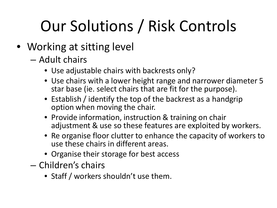# Our Solutions / Risk Controls

- Working at sitting level
	- Adult chairs
		- Use adjustable chairs with backrests only?
		- Use chairs with a lower height range and narrower diameter 5 star base (ie. select chairs that are fit for the purpose).
		- Establish / identify the top of the backrest as a handgrip option when moving the chair.
		- Provide information, instruction & training on chair adjustment & use so these features are exploited by workers.
		- Re organise floor clutter to enhance the capacity of workers to use these chairs in different areas.
		- Organise their storage for best access
	- Children's chairs
		- Staff / workers shouldn't use them.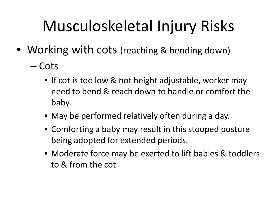- Working with cots (reaching & bending down)
	- Cots
		- If cot is too low & not height adjustable, worker may need to bend & reach down to handle or comfort the baby.
		- May be performed relatively often during a day.
		- Comforting a baby may result in this stooped posture being adopted for extended periods.
		- Moderate force may be exerted to lift babies & toddlers to & from the cot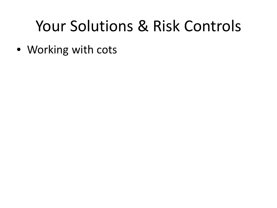### Your Solutions & Risk Controls

• Working with cots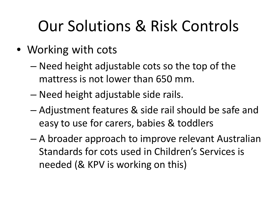# Our Solutions & Risk Controls

- Working with cots
	- Need height adjustable cots so the top of the mattress is not lower than 650 mm.
	- Need height adjustable side rails.
	- Adjustment features & side rail should be safe and easy to use for carers, babies & toddlers
	- A broader approach to improve relevant Australian Standards for cots used in Children's Services is needed (& KPV is working on this)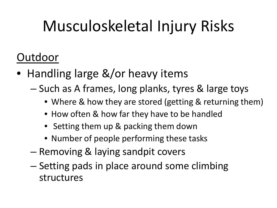- Handling large &/or heavy items
	- Such as A frames, long planks, tyres & large toys
		- Where & how they are stored (getting & returning them)
		- How often & how far they have to be handled
		- Setting them up & packing them down
		- Number of people performing these tasks
	- Removing & laying sandpit covers
	- Setting pads in place around some climbing structures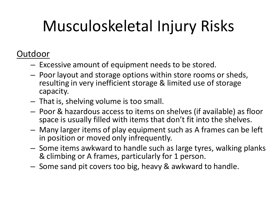- Excessive amount of equipment needs to be stored.
- Poor layout and storage options within store rooms or sheds, resulting in very inefficient storage & limited use of storage capacity.
- That is, shelving volume is too small.
- Poor & hazardous access to items on shelves (if available) as floor space is usually filled with items that don't fit into the shelves.
- Many larger items of play equipment such as A frames can be left in position or moved only infrequently.
- Some items awkward to handle such as large tyres, walking planks & climbing or A frames, particularly for 1 person.
- Some sand pit covers too big, heavy & awkward to handle.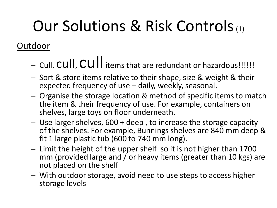# Our Solutions & Risk Controls(1)

- Cull, CUII, CUII items that are redundant or hazardous!!!!!!
- Sort & store items relative to their shape, size & weight & their expected frequency of use – daily, weekly, seasonal.
- Organise the storage location & method of specific items to match the item & their frequency of use. For example, containers on shelves, large toys on floor underneath.
- Use larger shelves, 600 + deep , to increase the storage capacity of the shelves. For example, Bunnings shelves are 840 mm deep & fit 1 large plastic tub (600 to 740 mm long).
- Limit the height of the upper shelf so it is not higher than 1700 mm (provided large and / or heavy items (greater than 10 kgs) are not placed on the shelf
- With outdoor storage, avoid need to use steps to access higher storage levels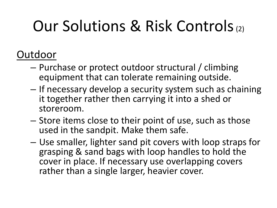# Our Solutions & Risk Controls(2)

- Purchase or protect outdoor structural / climbing equipment that can tolerate remaining outside.
- If necessary develop a security system such as chaining it together rather then carrying it into a shed or storeroom.
- Store items close to their point of use, such as those used in the sandpit. Make them safe.
- Use smaller, lighter sand pit covers with loop straps for grasping & sand bags with loop handles to hold the cover in place. If necessary use overlapping covers rather than a single larger, heavier cover.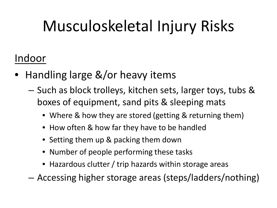#### Indoor

- Handling large &/or heavy items
	- Such as block trolleys, kitchen sets, larger toys, tubs & boxes of equipment, sand pits & sleeping mats
		- Where & how they are stored (getting & returning them)
		- How often & how far they have to be handled
		- Setting them up & packing them down
		- Number of people performing these tasks
		- Hazardous clutter / trip hazards within storage areas
	- Accessing higher storage areas (steps/ladders/nothing)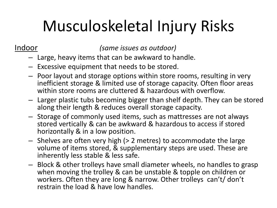Indoor *(same issues as outdoor)*

- Large, heavy items that can be awkward to handle.
- Excessive equipment that needs to be stored.
- Poor layout and storage options within store rooms, resulting in very inefficient storage & limited use of storage capacity. Often floor areas within store rooms are cluttered & hazardous with overflow.
- Larger plastic tubs becoming bigger than shelf depth. They can be stored along their length & reduces overall storage capacity.
- Storage of commonly used items, such as mattresses are not always stored vertically & can be awkward & hazardous to access if stored horizontally & in a low position.
- Shelves are often very high (> 2 metres) to accommodate the large volume of items stored, & supplementary steps are used. These are inherently less stable & less safe.
- Block & other trolleys have small diameter wheels, no handles to grasp when moving the trolley & can be unstable & topple on children or workers. Often they are long & narrow. Other trolleys can't/ don't restrain the load & have low handles.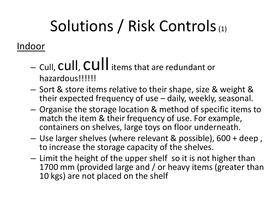# Solutions / Risk Controls (1)

#### Indoor

- Cull, cull, cull items that are redundant or hazardous!!!!!!
- Sort & store items relative to their shape, size & weight & their expected frequency of use – daily, weekly, seasonal.
- Organise the storage location & method of specific items to match the item & their frequency of use. For example, containers on shelves, large toys on floor underneath.
- Use larger shelves (where relevant & possible), 600 + deep , to increase the storage capacity of the shelves.
- Limit the height of the upper shelf so it is not higher than 1700 mm (provided large and / or heavy items (greater than 10 kgs) are not placed on the shelf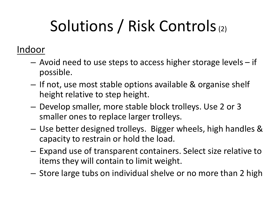# Solutions / Risk Controls(2)

#### Indoor

- Avoid need to use steps to access higher storage levels if possible.
- If not, use most stable options available & organise shelf height relative to step height.
- Develop smaller, more stable block trolleys. Use 2 or 3 smaller ones to replace larger trolleys.
- Use better designed trolleys. Bigger wheels, high handles & capacity to restrain or hold the load.
- Expand use of transparent containers. Select size relative to items they will contain to limit weight.
- Store large tubs on individual shelve or no more than 2 high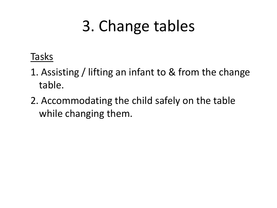# 3. Change tables

#### Tasks

- 1. Assisting / lifting an infant to & from the change table.
- 2. Accommodating the child safely on the table while changing them.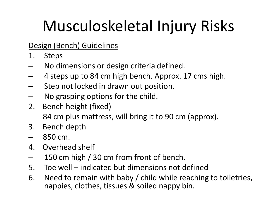#### Design (Bench) Guidelines

- 1. Steps
- No dimensions or design criteria defined.
- 4 steps up to 84 cm high bench. Approx. 17 cms high.
- Step not locked in drawn out position.
- No grasping options for the child.
- 2. Bench height (fixed)
- 84 cm plus mattress, will bring it to 90 cm (approx).
- 3. Bench depth
- 850 cm.
- 4. Overhead shelf
- 150 cm high / 30 cm from front of bench.
- 5. Toe well indicated but dimensions not defined
- 6. Need to remain with baby / child while reaching to toiletries, nappies, clothes, tissues & soiled nappy bin.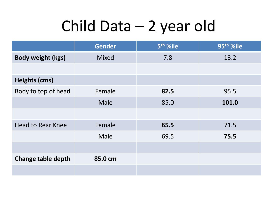## Child Data – 2 year old

|                           | <b>Gender</b> | 5 <sup>th</sup> %ile | 95 <sup>th</sup> %ile |
|---------------------------|---------------|----------------------|-----------------------|
| <b>Body weight (kgs)</b>  | <b>Mixed</b>  | 7.8                  | 13.2                  |
|                           |               |                      |                       |
| Heights (cms)             |               |                      |                       |
| Body to top of head       | Female        | 82.5                 | 95.5                  |
|                           | Male          | 85.0                 | 101.0                 |
|                           |               |                      |                       |
| <b>Head to Rear Knee</b>  | Female        | 65.5                 | 71.5                  |
|                           | Male          | 69.5                 | 75.5                  |
|                           |               |                      |                       |
| <b>Change table depth</b> | 85.0 cm       |                      |                       |
|                           |               |                      |                       |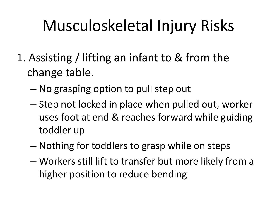- 1. Assisting / lifting an infant to & from the change table.
	- No grasping option to pull step out
	- Step not locked in place when pulled out, worker uses foot at end & reaches forward while guiding toddler up
	- Nothing for toddlers to grasp while on steps
	- Workers still lift to transfer but more likely from a higher position to reduce bending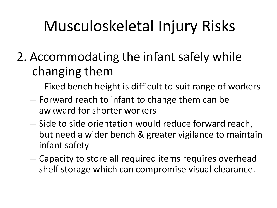- 2. Accommodating the infant safely while changing them
	- Fixed bench height is difficult to suit range of workers
	- Forward reach to infant to change them can be awkward for shorter workers
	- Side to side orientation would reduce forward reach, but need a wider bench & greater vigilance to maintain infant safety
	- Capacity to store all required items requires overhead shelf storage which can compromise visual clearance.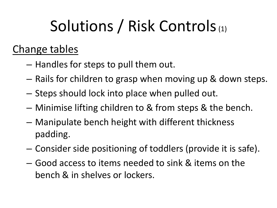# Solutions / Risk Controls (1)

### Change tables

- Handles for steps to pull them out.
- Rails for children to grasp when moving up & down steps.
- Steps should lock into place when pulled out.
- Minimise lifting children to & from steps & the bench.
- Manipulate bench height with different thickness padding.
- Consider side positioning of toddlers (provide it is safe).
- Good access to items needed to sink & items on the bench & in shelves or lockers.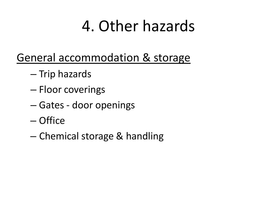### 4. Other hazards

- General accommodation & storage
	- Trip hazards
	- Floor coverings
	- Gates door openings
	- Office
	- Chemical storage & handling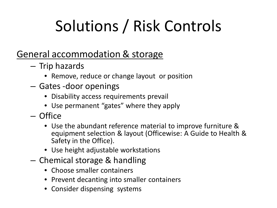# Solutions / Risk Controls

#### General accommodation & storage

- Trip hazards
	- Remove, reduce or change layout or position
- Gates -door openings
	- Disability access requirements prevail
	- Use permanent "gates" where they apply
- Office
	- Use the abundant reference material to improve furniture & equipment selection & layout (Officewise: A Guide to Health & Safety in the Office).
	- Use height adjustable workstations
- Chemical storage & handling
	- Choose smaller containers
	- Prevent decanting into smaller containers
	- Consider dispensing systems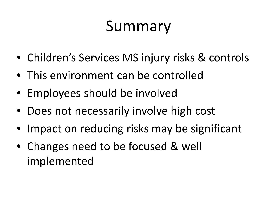### Summary

- Children's Services MS injury risks & controls
- This environment can be controlled
- Employees should be involved
- Does not necessarily involve high cost
- Impact on reducing risks may be significant
- Changes need to be focused & well implemented